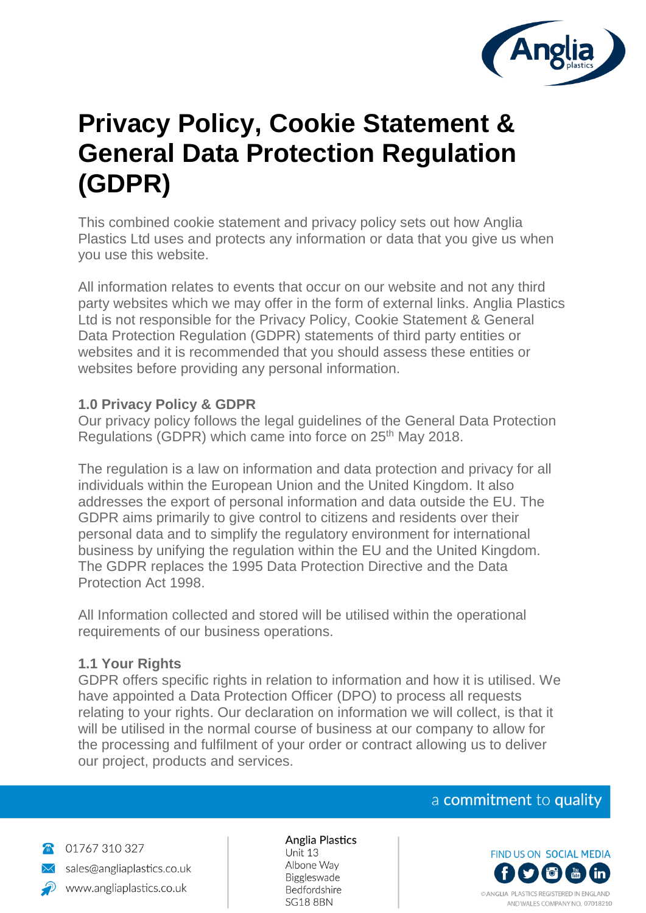

# **Privacy Policy, Cookie Statement & General Data Protection Regulation (GDPR)**

This combined cookie statement and privacy policy sets out how Anglia Plastics Ltd uses and protects any information or data that you give us when you use this website.

All information relates to events that occur on our website and not any third party websites which we may offer in the form of external links. Anglia Plastics Ltd is not responsible for the Privacy Policy, Cookie Statement & General Data Protection Regulation (GDPR) statements of third party entities or websites and it is recommended that you should assess these entities or websites before providing any personal information.

#### **1.0 Privacy Policy & GDPR**

Our privacy policy follows the legal guidelines of the General Data Protection Regulations (GDPR) which came into force on 25<sup>th</sup> May 2018.

The regulation is a law on information and data protection and privacy for all individuals within the European Union and the United Kingdom. It also addresses the export of personal information and data outside the EU. The GDPR aims primarily to give control to citizens and residents over their personal data and to simplify the regulatory environment for international business by unifying the regulation within the EU and the United Kingdom. The GDPR replaces the 1995 Data Protection Directive and the Data Protection Act 1998.

All Information collected and stored will be utilised within the operational requirements of our business operations.

#### **1.1 Your Rights**

GDPR offers specific rights in relation to information and how it is utilised. We have appointed a Data Protection Officer (DPO) to process all requests relating to your rights. Our declaration on information we will collect, is that it will be utilised in the normal course of business at our company to allow for the processing and fulfilment of your order or contract allowing us to deliver our project, products and services.

#### a commitment to quality



01767 310 327 sales@angliaplastics.co.uk www.angliaplastics.co.uk

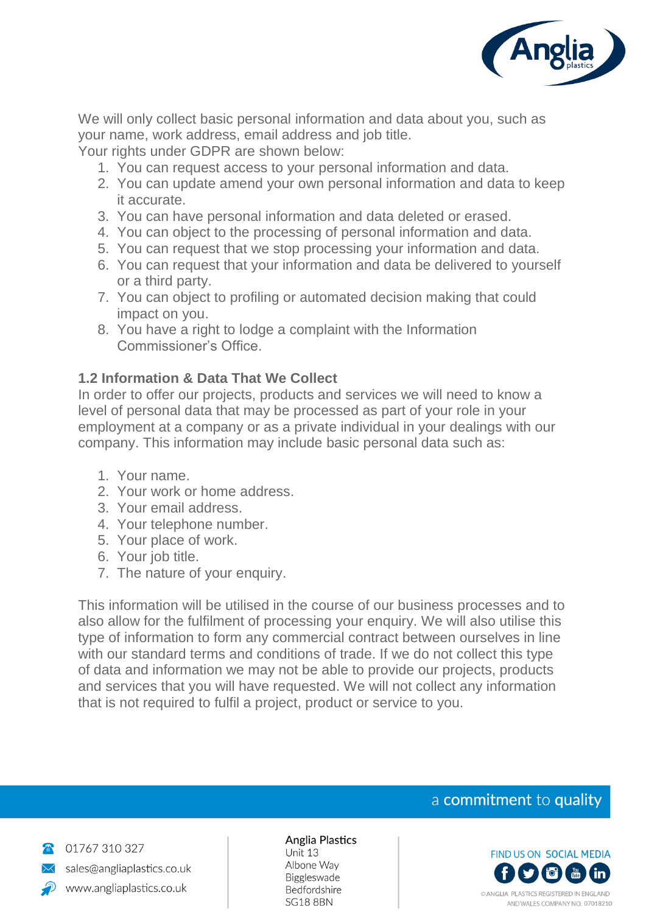

We will only collect basic personal information and data about you, such as your name, work address, email address and job title.

Your rights under GDPR are shown below:

- 1. You can request access to your personal information and data.
- 2. You can update amend your own personal information and data to keep it accurate.
- 3. You can have personal information and data deleted or erased.
- 4. You can object to the processing of personal information and data.
- 5. You can request that we stop processing your information and data.
- 6. You can request that your information and data be delivered to yourself or a third party.
- 7. You can object to profiling or automated decision making that could impact on you.
- 8. You have a right to lodge a complaint with the Information Commissioner's Office.

#### **1.2 Information & Data That We Collect**

In order to offer our projects, products and services we will need to know a level of personal data that may be processed as part of your role in your employment at a company or as a private individual in your dealings with our company. This information may include basic personal data such as:

- 1. Your name.
- 2. Your work or home address.
- 3. Your email address.
- 4. Your telephone number.
- 5. Your place of work.
- 6. Your job title.
- 7. The nature of your enquiry.

This information will be utilised in the course of our business processes and to also allow for the fulfilment of processing your enquiry. We will also utilise this type of information to form any commercial contract between ourselves in line with our standard terms and conditions of trade. If we do not collect this type of data and information we may not be able to provide our projects, products and services that you will have requested. We will not collect any information that is not required to fulfil a project, product or service to you.

## a commitment to quality



01767 310 327 sales@angliaplastics.co.uk www.angliaplastics.co.uk

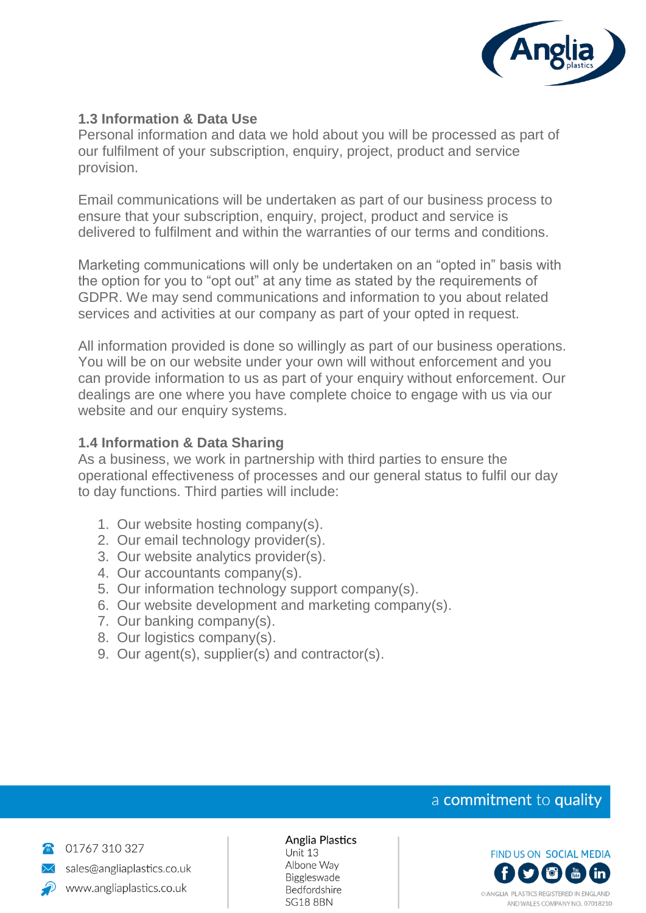

#### **1.3 Information & Data Use**

Personal information and data we hold about you will be processed as part of our fulfilment of your subscription, enquiry, project, product and service provision.

Email communications will be undertaken as part of our business process to ensure that your subscription, enquiry, project, product and service is delivered to fulfilment and within the warranties of our terms and conditions.

Marketing communications will only be undertaken on an "opted in" basis with the option for you to "opt out" at any time as stated by the requirements of GDPR. We may send communications and information to you about related services and activities at our company as part of your opted in request.

All information provided is done so willingly as part of our business operations. You will be on our website under your own will without enforcement and you can provide information to us as part of your enquiry without enforcement. Our dealings are one where you have complete choice to engage with us via our website and our enquiry systems.

#### **1.4 Information & Data Sharing**

As a business, we work in partnership with third parties to ensure the operational effectiveness of processes and our general status to fulfil our day to day functions. Third parties will include:

- 1. Our website hosting company(s).
- 2. Our email technology provider(s).
- 3. Our website analytics provider(s).
- 4. Our accountants company(s).
- 5. Our information technology support company(s).
- 6. Our website development and marketing company(s).
- 7. Our banking company(s).
- 8. Our logistics company(s).
- 9. Our agent(s), supplier(s) and contractor(s).

## a commitment to quality



01767 310 327 sales@angliaplastics.co.uk www.angliaplastics.co.uk

# Anglia Plastics

Unit 13 Albone Way Biggleswade Bedfordshire **SG18 8BN** 

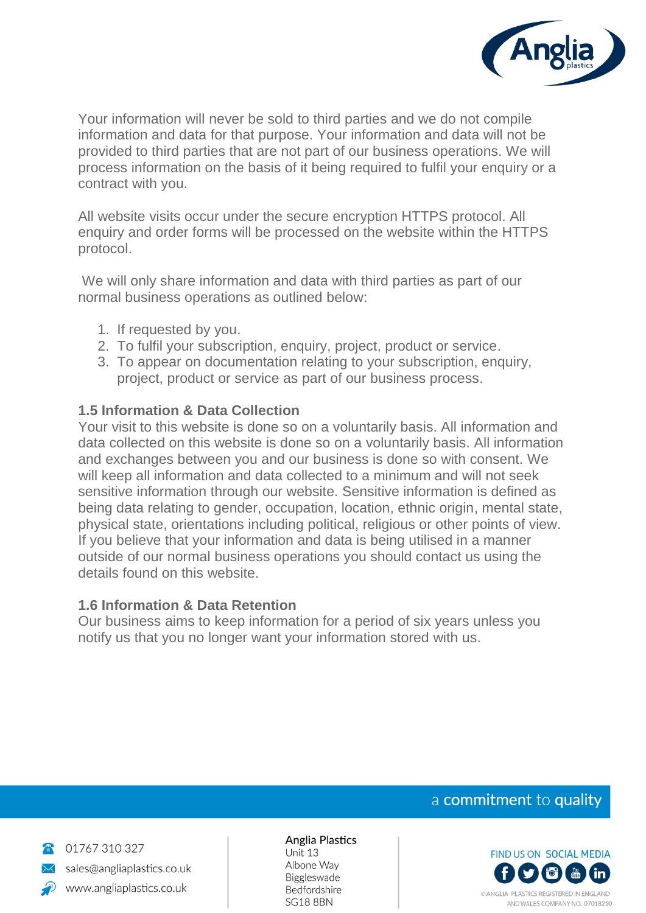

Your information will never be sold to third parties and we do not compile information and data for that purpose. Your information and data will not be provided to third parties that are not part of our business operations. We will process information on the basis of it being required to fulfil your enquiry or a contract with you.

All website visits occur under the secure encryption HTTPS protocol. All enquiry and order forms will be processed on the website within the HTTPS protocol.

We will only share information and data with third parties as part of our normal business operations as outlined below:

- 1. If requested by you.
- 2. To fulfil your subscription, enquiry, project, product or service.
- 3. To appear on documentation relating to your subscription, enquiry, project, product or service as part of our business process.

#### **1.5 Information & Data Collection**

Your visit to this website is done so on a voluntarily basis. All information and data collected on this website is done so on a voluntarily basis. All information and exchanges between you and our business is done so with consent. We will keep all information and data collected to a minimum and will not seek sensitive information through our website. Sensitive information is defined as being data relating to gender, occupation, location, ethnic origin, mental state, physical state, orientations including political, religious or other points of view. If you believe that your information and data is being utilised in a manner outside of our normal business operations you should contact us using the details found on this website.

#### **1.6 Information & Data Retention**

Our business aims to keep information for a period of six years unless you notify us that you no longer want your information stored with us.

## a commitment to quality



01767 310 327 sales@angliaplastics.co.uk www.angliaplastics.co.uk

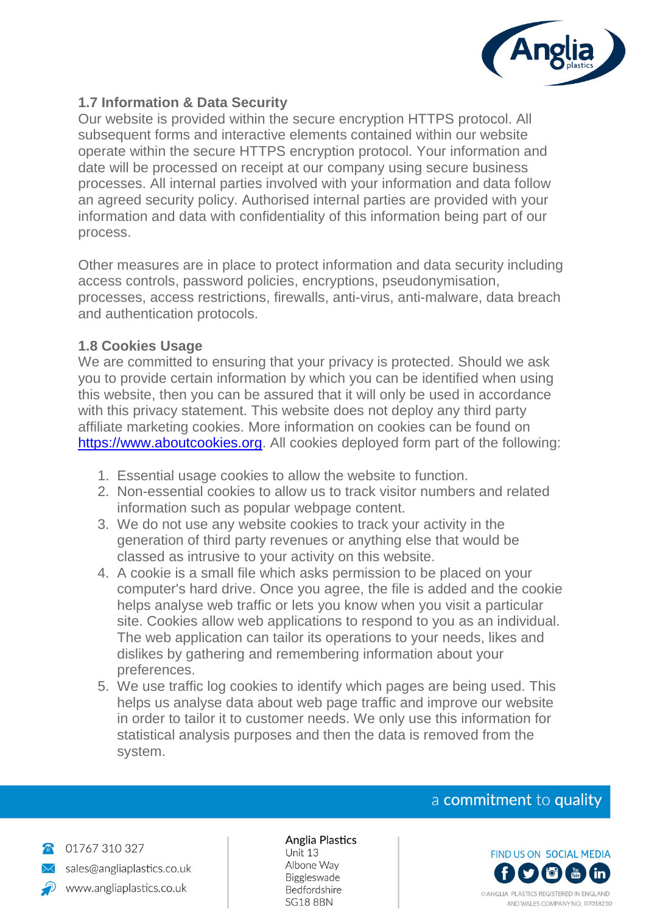

#### **1.7 Information & Data Security**

Our website is provided within the secure encryption HTTPS protocol. All subsequent forms and interactive elements contained within our website operate within the secure HTTPS encryption protocol. Your information and date will be processed on receipt at our company using secure business processes. All internal parties involved with your information and data follow an agreed security policy. Authorised internal parties are provided with your information and data with confidentiality of this information being part of our process.

Other measures are in place to protect information and data security including access controls, password policies, encryptions, pseudonymisation, processes, access restrictions, firewalls, anti-virus, anti-malware, data breach and authentication protocols.

#### **1.8 Cookies Usage**

We are committed to ensuring that your privacy is protected. Should we ask you to provide certain information by which you can be identified when using this website, then you can be assured that it will only be used in accordance with this privacy statement. This website does not deploy any third party affiliate marketing cookies. More information on cookies can be found on [https://www.aboutcookies.org.](https://www.aboutcookies.org/) All cookies deployed form part of the following:

- 1. Essential usage cookies to allow the website to function.
- 2. Non-essential cookies to allow us to track visitor numbers and related information such as popular webpage content.
- 3. We do not use any website cookies to track your activity in the generation of third party revenues or anything else that would be classed as intrusive to your activity on this website.
- 4. A cookie is a small file which asks permission to be placed on your computer's hard drive. Once you agree, the file is added and the cookie helps analyse web traffic or lets you know when you visit a particular site. Cookies allow web applications to respond to you as an individual. The web application can tailor its operations to your needs, likes and dislikes by gathering and remembering information about your preferences.
- 5. We use traffic log cookies to identify which pages are being used. This helps us analyse data about web page traffic and improve our website in order to tailor it to customer needs. We only use this information for statistical analysis purposes and then the data is removed from the system.

#### a commitment to quality



01767 310 327 sales@angliaplastics.co.uk www.angliaplastics.co.uk

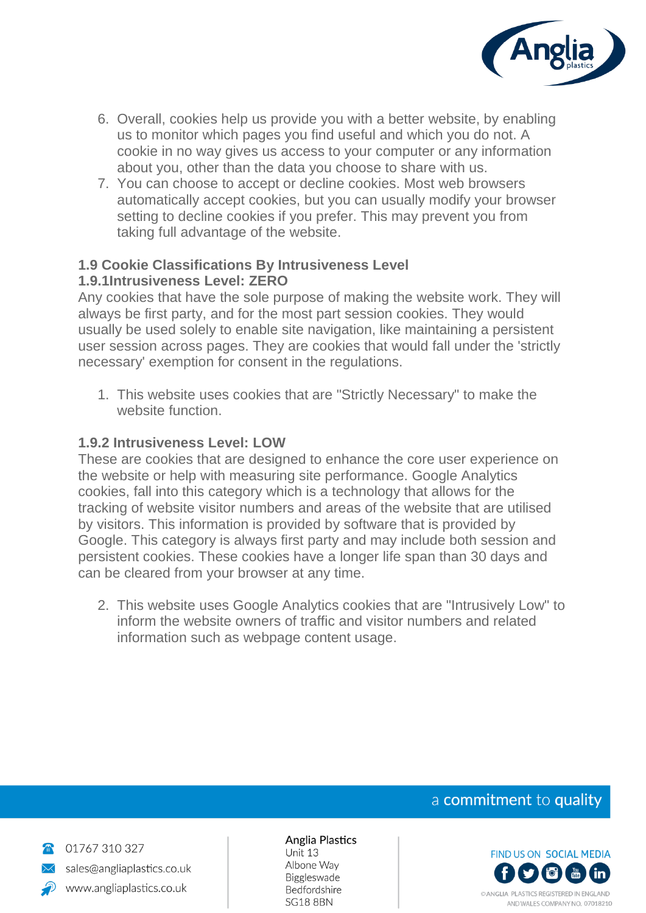

- 6. Overall, cookies help us provide you with a better website, by enabling us to monitor which pages you find useful and which you do not. A cookie in no way gives us access to your computer or any information about you, other than the data you choose to share with us.
- 7. You can choose to accept or decline cookies. Most web browsers automatically accept cookies, but you can usually modify your browser setting to decline cookies if you prefer. This may prevent you from taking full advantage of the website.

#### **1.9 Cookie Classifications By Intrusiveness Level 1.9.1Intrusiveness Level: ZERO**

Any cookies that have the sole purpose of making the website work. They will always be first party, and for the most part session cookies. They would usually be used solely to enable site navigation, like maintaining a persistent user session across pages. They are cookies that would fall under the 'strictly necessary' exemption for consent in the regulations.

1. This website uses cookies that are "Strictly Necessary" to make the website function.

## **1.9.2 Intrusiveness Level: LOW**

These are cookies that are designed to enhance the core user experience on the website or help with measuring site performance. Google Analytics cookies, fall into this category which is a technology that allows for the tracking of website visitor numbers and areas of the website that are utilised by visitors. This information is provided by software that is provided by Google. This category is always first party and may include both session and persistent cookies. These cookies have a longer life span than 30 days and can be cleared from your browser at any time.

2. This website uses Google Analytics cookies that are "Intrusively Low" to inform the website owners of traffic and visitor numbers and related information such as webpage content usage.

# a commitment to quality



01767 310 327 sales@angliaplastics.co.uk www.angliaplastics.co.uk

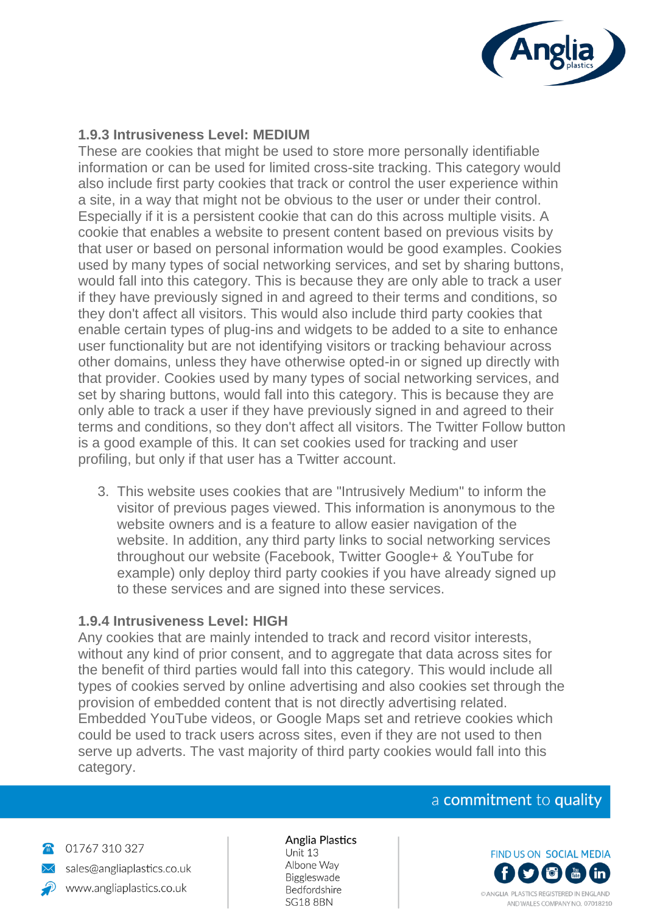

#### **1.9.3 Intrusiveness Level: MEDIUM**

These are cookies that might be used to store more personally identifiable information or can be used for limited cross-site tracking. This category would also include first party cookies that track or control the user experience within a site, in a way that might not be obvious to the user or under their control. Especially if it is a persistent cookie that can do this across multiple visits. A cookie that enables a website to present content based on previous visits by that user or based on personal information would be good examples. Cookies used by many types of social networking services, and set by sharing buttons, would fall into this category. This is because they are only able to track a user if they have previously signed in and agreed to their terms and conditions, so they don't affect all visitors. This would also include third party cookies that enable certain types of plug-ins and widgets to be added to a site to enhance user functionality but are not identifying visitors or tracking behaviour across other domains, unless they have otherwise opted-in or signed up directly with that provider. Cookies used by many types of social networking services, and set by sharing buttons, would fall into this category. This is because they are only able to track a user if they have previously signed in and agreed to their terms and conditions, so they don't affect all visitors. The Twitter Follow button is a good example of this. It can set cookies used for tracking and user profiling, but only if that user has a Twitter account.

3. This website uses cookies that are "Intrusively Medium" to inform the visitor of previous pages viewed. This information is anonymous to the website owners and is a feature to allow easier navigation of the website. In addition, any third party links to social networking services throughout our website (Facebook, Twitter Google+ & YouTube for example) only deploy third party cookies if you have already signed up to these services and are signed into these services.

#### **1.9.4 Intrusiveness Level: HIGH**

Any cookies that are mainly intended to track and record visitor interests, without any kind of prior consent, and to aggregate that data across sites for the benefit of third parties would fall into this category. This would include all types of cookies served by online advertising and also cookies set through the provision of embedded content that is not directly advertising related. Embedded YouTube videos, or Google Maps set and retrieve cookies which could be used to track users across sites, even if they are not used to then serve up adverts. The vast majority of third party cookies would fall into this category.

#### a commitment to quality



01767 310 327 sales@angliaplastics.co.uk www.angliaplastics.co.uk